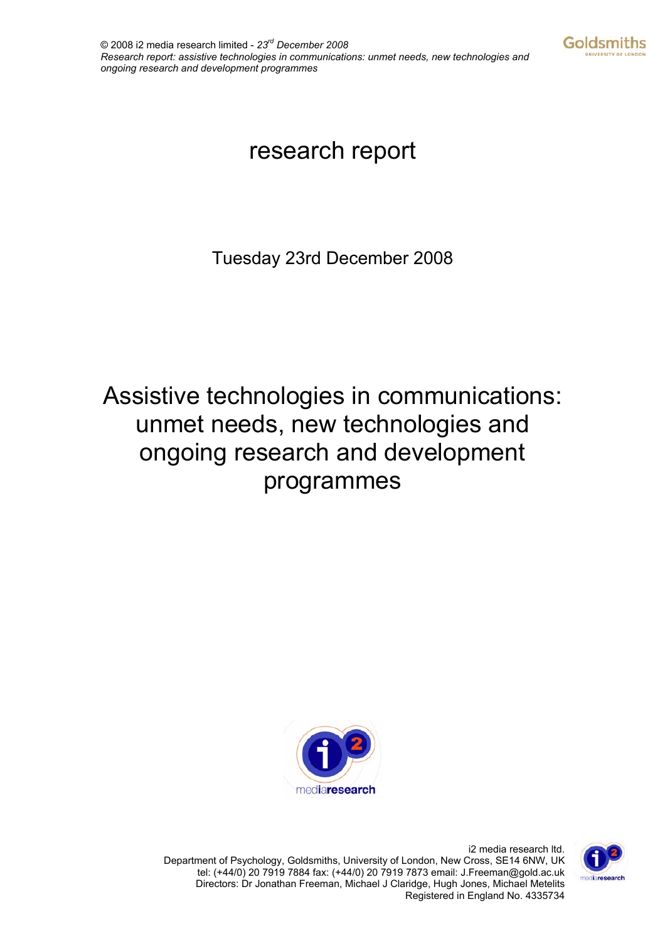

# research report

Tuesday 23rd December 2008

# Assistive technologies in communications: unmet needs, new technologies and ongoing research and development programmes



i2 media research ltd. Department of Psychology, Goldsmiths, University of London, New Cross, SE14 6NW, UK tel: (+44/0) 20 7919 7884 fax: (+44/0) 20 7919 7873 email: J.Freeman@gold.ac.uk Directors: Dr Jonathan Freeman, Michael J Claridge, Hugh Jones, Michael Metelits Registered in England No. 4335734

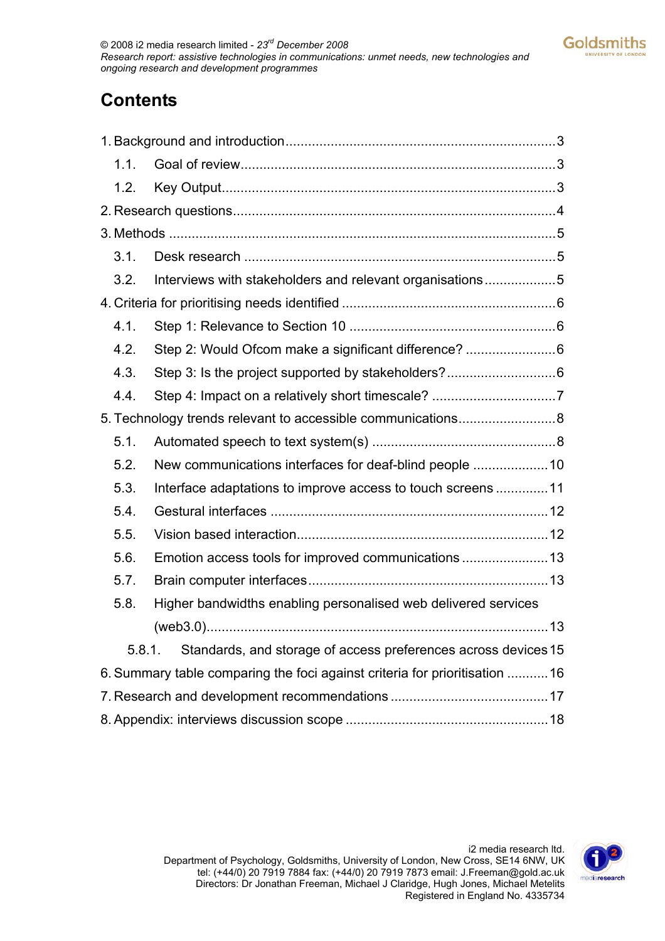## **Contents**

| 1.1. |                                                                            |  |
|------|----------------------------------------------------------------------------|--|
| 1.2. |                                                                            |  |
|      |                                                                            |  |
|      |                                                                            |  |
| 3.1. |                                                                            |  |
| 3.2. | Interviews with stakeholders and relevant organisations5                   |  |
|      |                                                                            |  |
| 4.1. |                                                                            |  |
| 4.2. | Step 2: Would Ofcom make a significant difference? 6                       |  |
| 4.3. |                                                                            |  |
| 4.4. |                                                                            |  |
|      |                                                                            |  |
| 5.1. |                                                                            |  |
| 5.2. |                                                                            |  |
| 5.3. | Interface adaptations to improve access to touch screens  11               |  |
| 5.4. |                                                                            |  |
| 5.5. |                                                                            |  |
| 5.6. |                                                                            |  |
| 5.7. |                                                                            |  |
| 5.8. | Higher bandwidths enabling personalised web delivered services             |  |
|      |                                                                            |  |
|      | Standards, and storage of access preferences across devices 15<br>5.8.1.   |  |
|      | 6. Summary table comparing the foci against criteria for prioritisation 16 |  |
|      |                                                                            |  |
|      |                                                                            |  |

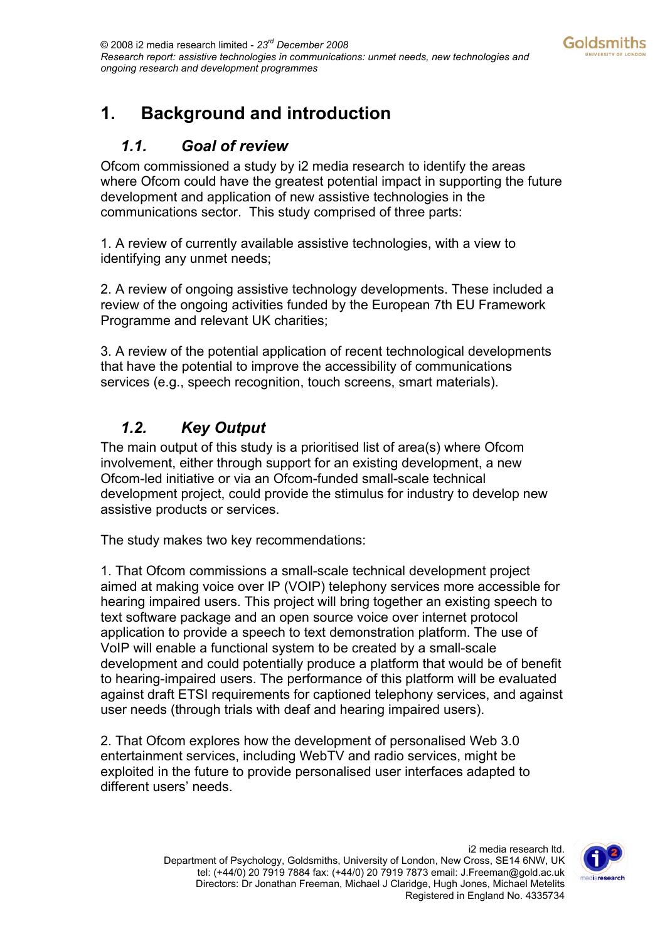## <span id="page-2-0"></span>**1. Background and introduction**

### *1.1. Goal of review*

Ofcom commissioned a study by i2 media research to identify the areas where Ofcom could have the greatest potential impact in supporting the future development and application of new assistive technologies in the communications sector. This study comprised of three parts:

1. A review of currently available assistive technologies, with a view to identifying any unmet needs;

2. A review of ongoing assistive technology developments. These included a review of the ongoing activities funded by the European 7th EU Framework Programme and relevant UK charities;

3. A review of the potential application of recent technological developments that have the potential to improve the accessibility of communications services (e.g., speech recognition, touch screens, smart materials).

## *1.2. Key Output*

The main output of this study is a prioritised list of area(s) where Ofcom involvement, either through support for an existing development, a new Ofcom-led initiative or via an Ofcom-funded small-scale technical development project, could provide the stimulus for industry to develop new assistive products or services.

The study makes two key recommendations:

1. That Ofcom commissions a small-scale technical development project aimed at making voice over IP (VOIP) telephony services more accessible for hearing impaired users. This project will bring together an existing speech to text software package and an open source voice over internet protocol application to provide a speech to text demonstration platform. The use of VoIP will enable a functional system to be created by a small-scale development and could potentially produce a platform that would be of benefit to hearing-impaired users. The performance of this platform will be evaluated against draft ETSI requirements for captioned telephony services, and against user needs (through trials with deaf and hearing impaired users).

2. That Ofcom explores how the development of personalised Web 3.0 entertainment services, including WebTV and radio services, might be exploited in the future to provide personalised user interfaces adapted to different users' needs.

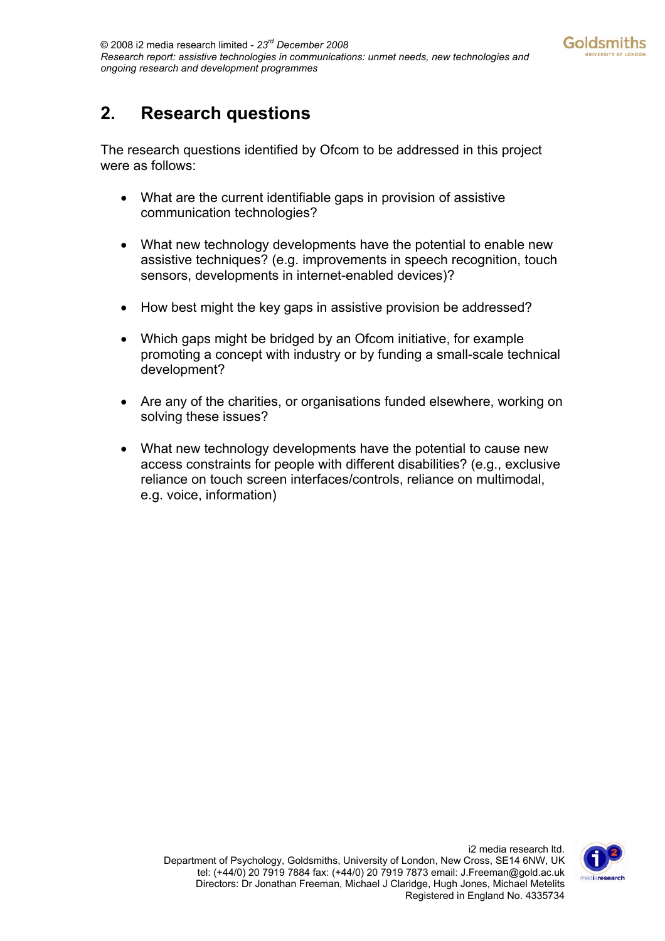## <span id="page-3-0"></span>**2. Research questions**

The research questions identified by Ofcom to be addressed in this project were as follows:

- What are the current identifiable gaps in provision of assistive communication technologies?
- What new technology developments have the potential to enable new assistive techniques? (e.g. improvements in speech recognition, touch sensors, developments in internet-enabled devices)?
- How best might the key gaps in assistive provision be addressed?
- Which gaps might be bridged by an Ofcom initiative, for example promoting a concept with industry or by funding a small-scale technical development?
- Are any of the charities, or organisations funded elsewhere, working on solving these issues?
- What new technology developments have the potential to cause new access constraints for people with different disabilities? (e.g., exclusive reliance on touch screen interfaces/controls, reliance on multimodal, e.g. voice, information)

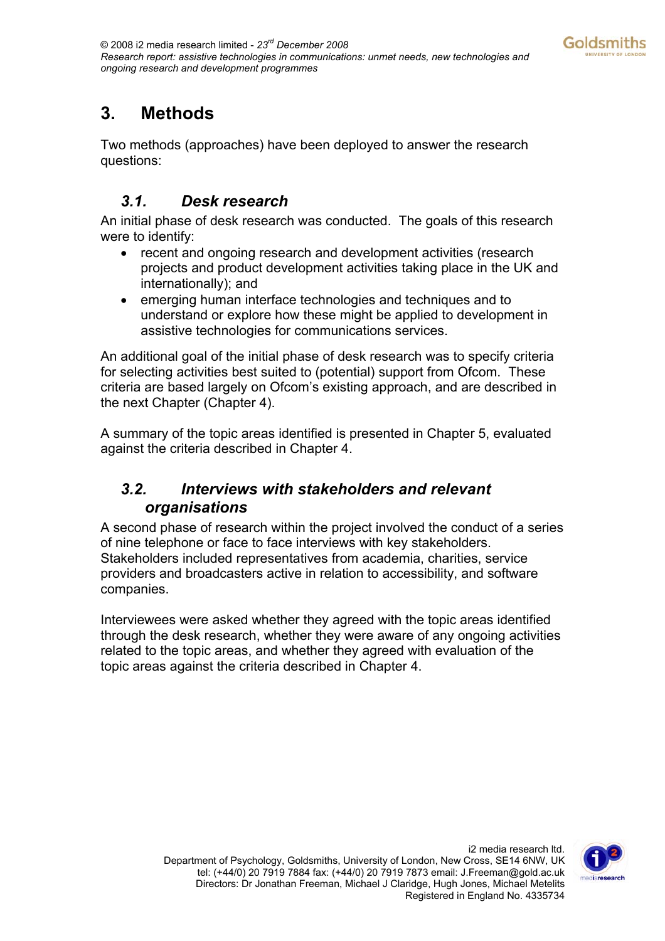## <span id="page-4-0"></span>**3. Methods**

Two methods (approaches) have been deployed to answer the research questions:

## *3.1. Desk research*

An initial phase of desk research was conducted. The goals of this research were to identify:

- recent and ongoing research and development activities (research projects and product development activities taking place in the UK and internationally); and
- emerging human interface technologies and techniques and to understand or explore how these might be applied to development in assistive technologies for communications services.

An additional goal of the initial phase of desk research was to specify criteria for selecting activities best suited to (potential) support from Ofcom. These criteria are based largely on Ofcom's existing approach, and are described in the next Chapter (Chapter 4).

A summary of the topic areas identified is presented in Chapter 5, evaluated against the criteria described in Chapter 4.

### *3.2. Interviews with stakeholders and relevant organisations*

A second phase of research within the project involved the conduct of a series of nine telephone or face to face interviews with key stakeholders. Stakeholders included representatives from academia, charities, service providers and broadcasters active in relation to accessibility, and software companies.

Interviewees were asked whether they agreed with the topic areas identified through the desk research, whether they were aware of any ongoing activities related to the topic areas, and whether they agreed with evaluation of the topic areas against the criteria described in Chapter 4.

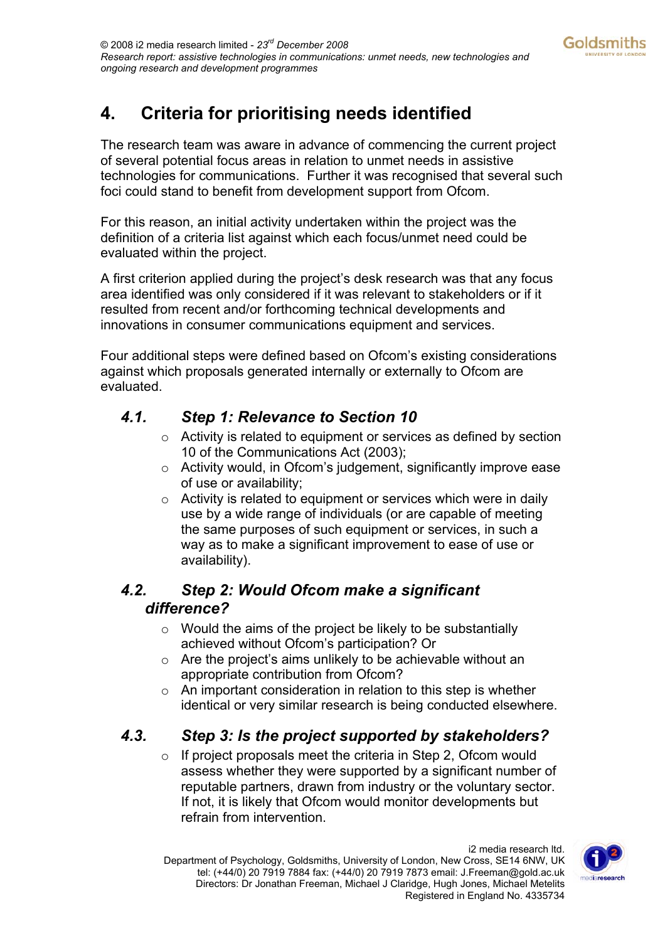## <span id="page-5-0"></span>**4. Criteria for prioritising needs identified**

The research team was aware in advance of commencing the current project of several potential focus areas in relation to unmet needs in assistive technologies for communications. Further it was recognised that several such foci could stand to benefit from development support from Ofcom.

For this reason, an initial activity undertaken within the project was the definition of a criteria list against which each focus/unmet need could be evaluated within the project.

A first criterion applied during the project's desk research was that any focus area identified was only considered if it was relevant to stakeholders or if it resulted from recent and/or forthcoming technical developments and innovations in consumer communications equipment and services.

Four additional steps were defined based on Ofcom's existing considerations against which proposals generated internally or externally to Ofcom are evaluated.

### *4.1. Step 1: Relevance to Section 10*

- o Activity is related to equipment or services as defined by section 10 of the Communications Act (2003);
- o Activity would, in Ofcom's judgement, significantly improve ease of use or availability;
- $\circ$  Activity is related to equipment or services which were in daily use by a wide range of individuals (or are capable of meeting the same purposes of such equipment or services, in such a way as to make a significant improvement to ease of use or availability).

## *4.2. Step 2: Would Ofcom make a significant difference?*

- $\circ$  Would the aims of the project be likely to be substantially achieved without Ofcom's participation? Or
- $\circ$  Are the project's aims unlikely to be achievable without an appropriate contribution from Ofcom?
- o An important consideration in relation to this step is whether identical or very similar research is being conducted elsewhere.

### *4.3. Step 3: Is the project supported by stakeholders?*

o If project proposals meet the criteria in Step 2, Ofcom would assess whether they were supported by a significant number of reputable partners, drawn from industry or the voluntary sector. If not, it is likely that Ofcom would monitor developments but refrain from intervention.

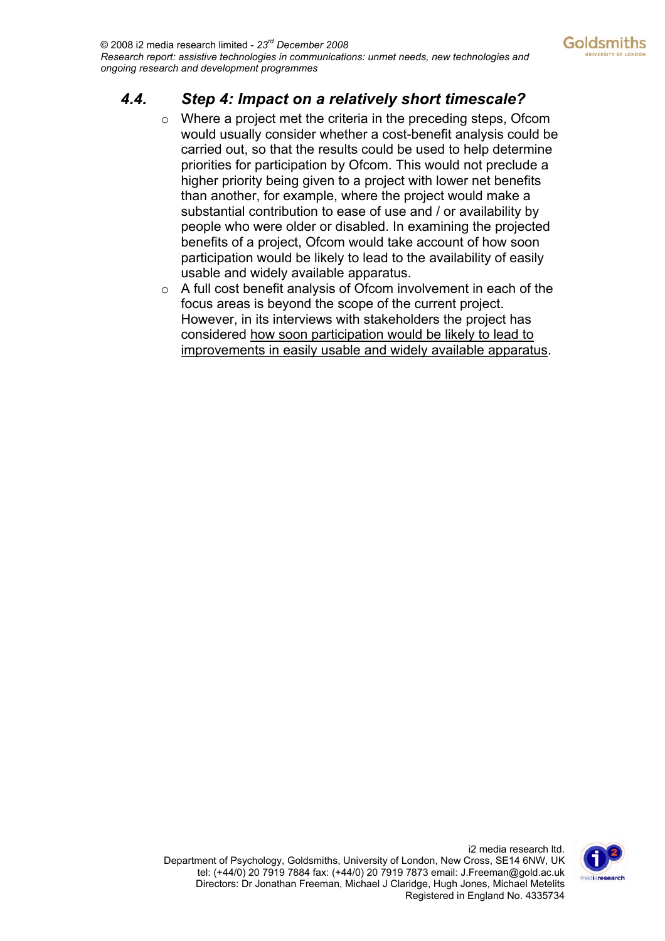## <span id="page-6-0"></span>*4.4. Step 4: Impact on a relatively short timescale?*

- o Where a project met the criteria in the preceding steps, Ofcom would usually consider whether a cost-benefit analysis could be carried out, so that the results could be used to help determine priorities for participation by Ofcom. This would not preclude a higher priority being given to a project with lower net benefits than another, for example, where the project would make a substantial contribution to ease of use and / or availability by people who were older or disabled. In examining the projected benefits of a project, Ofcom would take account of how soon participation would be likely to lead to the availability of easily usable and widely available apparatus.
- $\circ$  A full cost benefit analysis of Ofcom involvement in each of the focus areas is beyond the scope of the current project. However, in its interviews with stakeholders the project has considered how soon participation would be likely to lead to improvements in easily usable and widely available apparatus.

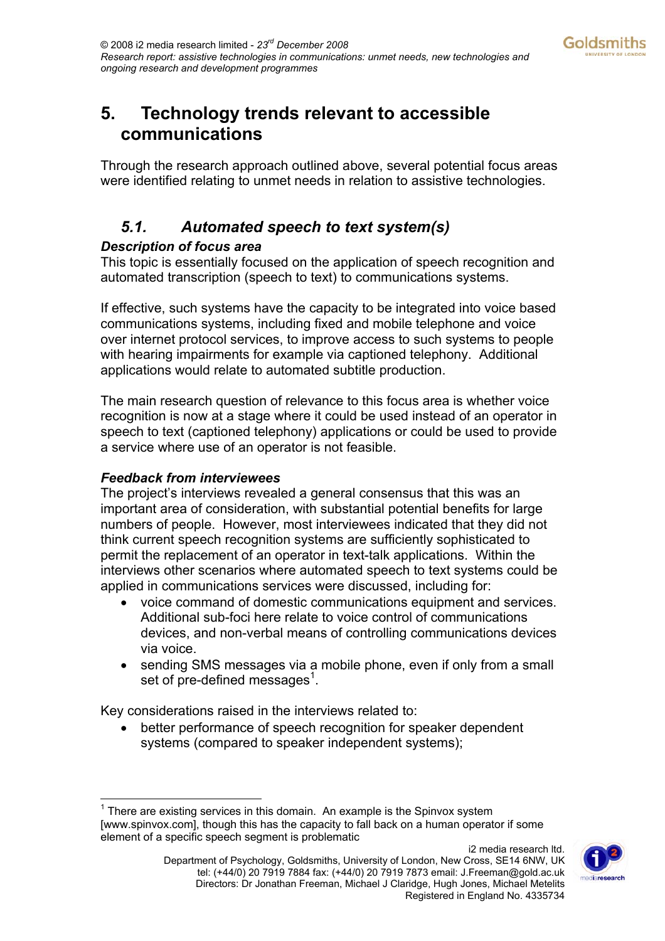## <span id="page-7-0"></span>**5. Technology trends relevant to accessible communications**

Through the research approach outlined above, several potential focus areas were identified relating to unmet needs in relation to assistive technologies.

## *5.1. Automated speech to text system(s)*

#### *Description of focus area*

This topic is essentially focused on the application of speech recognition and automated transcription (speech to text) to communications systems.

If effective, such systems have the capacity to be integrated into voice based communications systems, including fixed and mobile telephone and voice over internet protocol services, to improve access to such systems to people with hearing impairments for example via captioned telephony. Additional applications would relate to automated subtitle production.

The main research question of relevance to this focus area is whether voice recognition is now at a stage where it could be used instead of an operator in speech to text (captioned telephony) applications or could be used to provide a service where use of an operator is not feasible.

#### *Feedback from interviewees*

The project's interviews revealed a general consensus that this was an important area of consideration, with substantial potential benefits for large numbers of people. However, most interviewees indicated that they did not think current speech recognition systems are sufficiently sophisticated to permit the replacement of an operator in text-talk applications. Within the interviews other scenarios where automated speech to text systems could be applied in communications services were discussed, including for:

- voice command of domestic communications equipment and services. Additional sub-foci here relate to voice control of communications devices, and non-verbal means of controlling communications devices via voice.
- sending SMS messages via a mobile phone, even if only from a small set of pre-defined messages $1$ [.](#page-7-1)

Key considerations raised in the interviews related to:

better performance of speech recognition for speaker dependent systems (compared to speaker independent systems);



<span id="page-7-1"></span> $\overline{a}$  $1$  There are existing services in this domain. An example is the Spinvox system [www.spinvox.com], though this has the capacity to fall back on a human operator if some element of a specific speech segment is problematic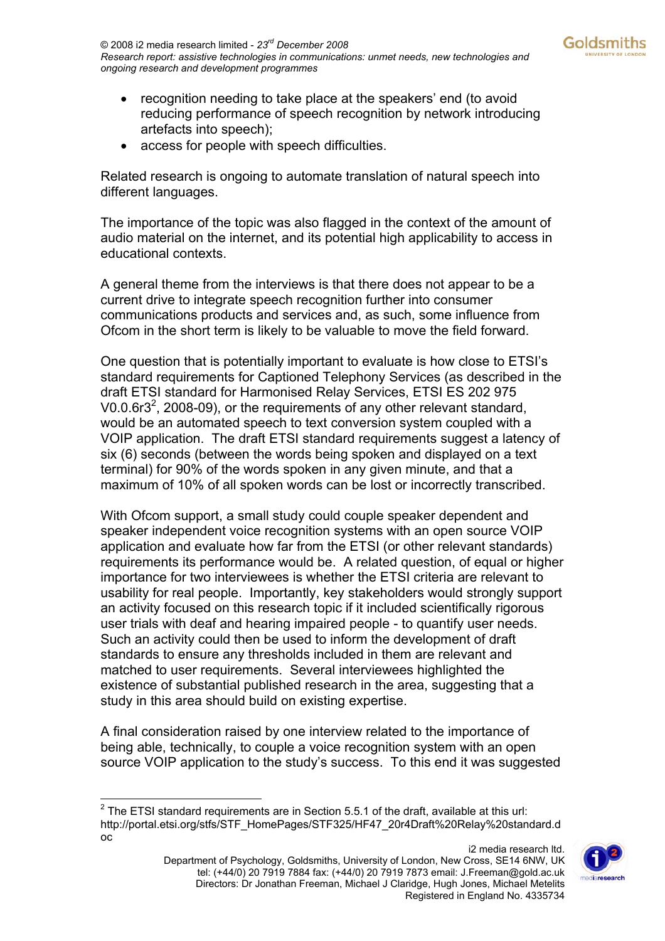- recognition needing to take place at the speakers' end (to avoid reducing performance of speech recognition by network introducing artefacts into speech);
- access for people with speech difficulties.

Related research is ongoing to automate translation of natural speech into different languages.

The importance of the topic was also flagged in the context of the amount of audio material on the internet, and its potential high applicability to access in educational contexts.

A general theme from the interviews is that there does not appear to be a current drive to integrate speech recognition further into consumer communications products and services and, as such, some influence from Ofcom in the short term is likely to be valuable to move the field forward.

One question that is potentially important to evaluate is how close to ETSI's standard requirements for Captioned Telephony Services (as described in the draft ETSI standard for Harmonised Relay Services, ETSI ES 202 975 V0.0.6r3<sup>[2](#page-8-0)</sup>, 2008-09), or the requirements of any other relevant standard, would be an automated speech to text conversion system coupled with a VOIP application. The draft ETSI standard requirements suggest a latency of six (6) seconds (between the words being spoken and displayed on a text terminal) for 90% of the words spoken in any given minute, and that a maximum of 10% of all spoken words can be lost or incorrectly transcribed.

With Ofcom support, a small study could couple speaker dependent and speaker independent voice recognition systems with an open source VOIP application and evaluate how far from the ETSI (or other relevant standards) requirements its performance would be. A related question, of equal or higher importance for two interviewees is whether the ETSI criteria are relevant to usability for real people. Importantly, key stakeholders would strongly support an activity focused on this research topic if it included scientifically rigorous user trials with deaf and hearing impaired people - to quantify user needs. Such an activity could then be used to inform the development of draft standards to ensure any thresholds included in them are relevant and matched to user requirements. Several interviewees highlighted the existence of substantial published research in the area, suggesting that a study in this area should build on existing expertise.

A final consideration raised by one interview related to the importance of being able, technically, to couple a voice recognition system with an open source VOIP application to the study's success. To this end it was suggested



<span id="page-8-0"></span> 2 The ETSI standard requirements are in Section 5.5.1 of the draft, available at this url: http://portal.etsi.org/stfs/STF\_HomePages/STF325/HF47\_20r4Draft%20Relay%20standard.d oc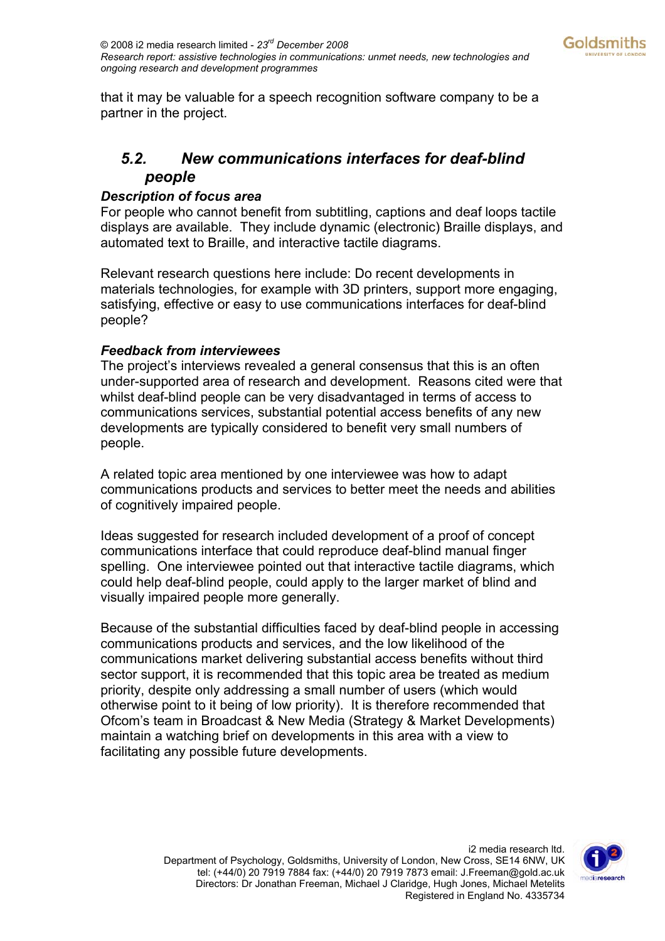<span id="page-9-0"></span>that it may be valuable for a speech recognition software company to be a partner in the project.

## *5.2. New communications interfaces for deaf-blind people*

#### *Description of focus area*

For people who cannot benefit from subtitling, captions and deaf loops tactile displays are available. They include dynamic (electronic) Braille displays, and automated text to Braille, and interactive tactile diagrams.

Relevant research questions here include: Do recent developments in materials technologies, for example with 3D printers, support more engaging, satisfying, effective or easy to use communications interfaces for deaf-blind people?

#### *Feedback from interviewees*

The project's interviews revealed a general consensus that this is an often under-supported area of research and development. Reasons cited were that whilst deaf-blind people can be very disadvantaged in terms of access to communications services, substantial potential access benefits of any new developments are typically considered to benefit very small numbers of people.

A related topic area mentioned by one interviewee was how to adapt communications products and services to better meet the needs and abilities of cognitively impaired people.

Ideas suggested for research included development of a proof of concept communications interface that could reproduce deaf-blind manual finger spelling. One interviewee pointed out that interactive tactile diagrams, which could help deaf-blind people, could apply to the larger market of blind and visually impaired people more generally.

Because of the substantial difficulties faced by deaf-blind people in accessing communications products and services, and the low likelihood of the communications market delivering substantial access benefits without third sector support, it is recommended that this topic area be treated as medium priority, despite only addressing a small number of users (which would otherwise point to it being of low priority). It is therefore recommended that Ofcom's team in Broadcast & New Media (Strategy & Market Developments) maintain a watching brief on developments in this area with a view to facilitating any possible future developments.

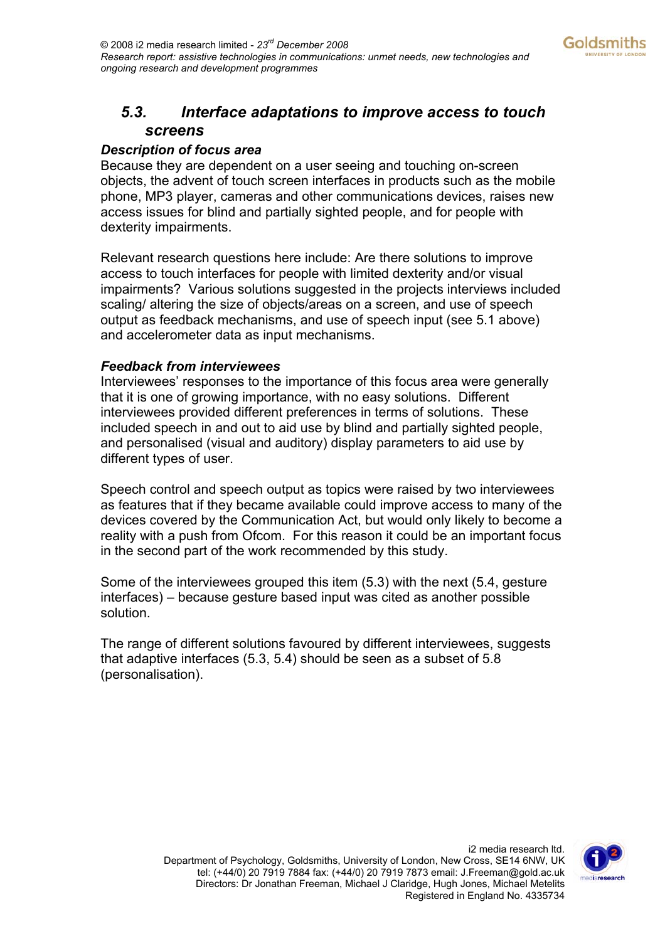### <span id="page-10-0"></span>*5.3. Interface adaptations to improve access to touch screens*

#### *Description of focus area*

Because they are dependent on a user seeing and touching on-screen objects, the advent of touch screen interfaces in products such as the mobile phone, MP3 player, cameras and other communications devices, raises new access issues for blind and partially sighted people, and for people with dexterity impairments.

Relevant research questions here include: Are there solutions to improve access to touch interfaces for people with limited dexterity and/or visual impairments? Various solutions suggested in the projects interviews included scaling/ altering the size of objects/areas on a screen, and use of speech output as feedback mechanisms, and use of speech input (see 5.1 above) and accelerometer data as input mechanisms.

#### *Feedback from interviewees*

Interviewees' responses to the importance of this focus area were generally that it is one of growing importance, with no easy solutions. Different interviewees provided different preferences in terms of solutions. These included speech in and out to aid use by blind and partially sighted people, and personalised (visual and auditory) display parameters to aid use by different types of user.

Speech control and speech output as topics were raised by two interviewees as features that if they became available could improve access to many of the devices covered by the Communication Act, but would only likely to become a reality with a push from Ofcom. For this reason it could be an important focus in the second part of the work recommended by this study.

Some of the interviewees grouped this item (5.3) with the next (5.4, gesture interfaces) – because gesture based input was cited as another possible solution.

The range of different solutions favoured by different interviewees, suggests that adaptive interfaces (5.3, 5.4) should be seen as a subset of 5.8 (personalisation).

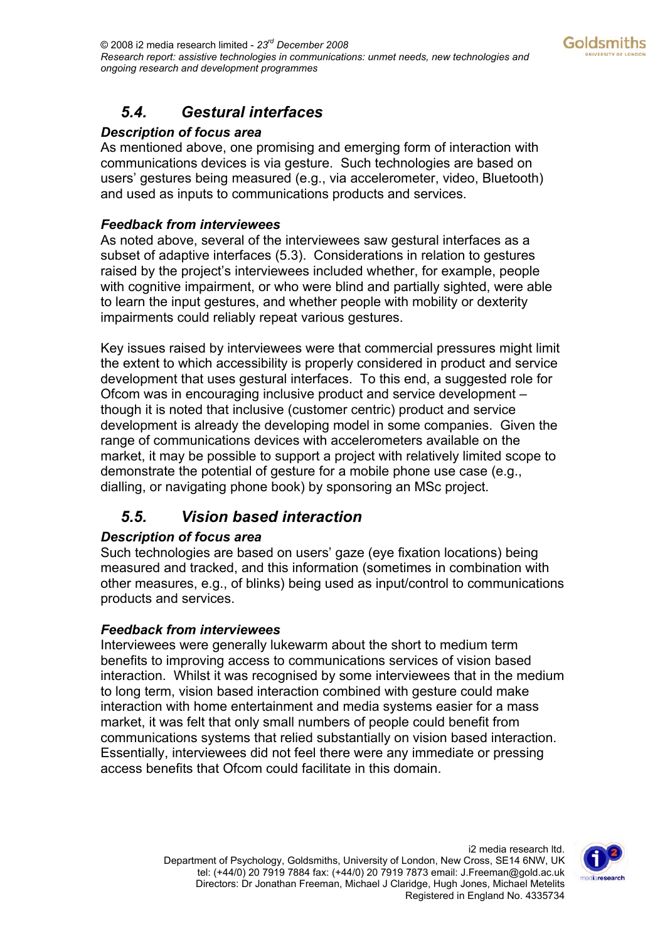## <span id="page-11-0"></span>*5.4. Gestural interfaces*

#### *Description of focus area*

As mentioned above, one promising and emerging form of interaction with communications devices is via gesture. Such technologies are based on users' gestures being measured (e.g., via accelerometer, video, Bluetooth) and used as inputs to communications products and services.

#### *Feedback from interviewees*

As noted above, several of the interviewees saw gestural interfaces as a subset of adaptive interfaces (5.3). Considerations in relation to gestures raised by the project's interviewees included whether, for example, people with cognitive impairment, or who were blind and partially sighted, were able to learn the input gestures, and whether people with mobility or dexterity impairments could reliably repeat various gestures.

Key issues raised by interviewees were that commercial pressures might limit the extent to which accessibility is properly considered in product and service development that uses gestural interfaces. To this end, a suggested role for Ofcom was in encouraging inclusive product and service development – though it is noted that inclusive (customer centric) product and service development is already the developing model in some companies. Given the range of communications devices with accelerometers available on the market, it may be possible to support a project with relatively limited scope to demonstrate the potential of gesture for a mobile phone use case (e.g., dialling, or navigating phone book) by sponsoring an MSc project.

## *5.5. Vision based interaction*

#### *Description of focus area*

Such technologies are based on users' gaze (eye fixation locations) being measured and tracked, and this information (sometimes in combination with other measures, e.g., of blinks) being used as input/control to communications products and services.

#### *Feedback from interviewees*

Interviewees were generally lukewarm about the short to medium term benefits to improving access to communications services of vision based interaction. Whilst it was recognised by some interviewees that in the medium to long term, vision based interaction combined with gesture could make interaction with home entertainment and media systems easier for a mass market, it was felt that only small numbers of people could benefit from communications systems that relied substantially on vision based interaction. Essentially, interviewees did not feel there were any immediate or pressing access benefits that Ofcom could facilitate in this domain.

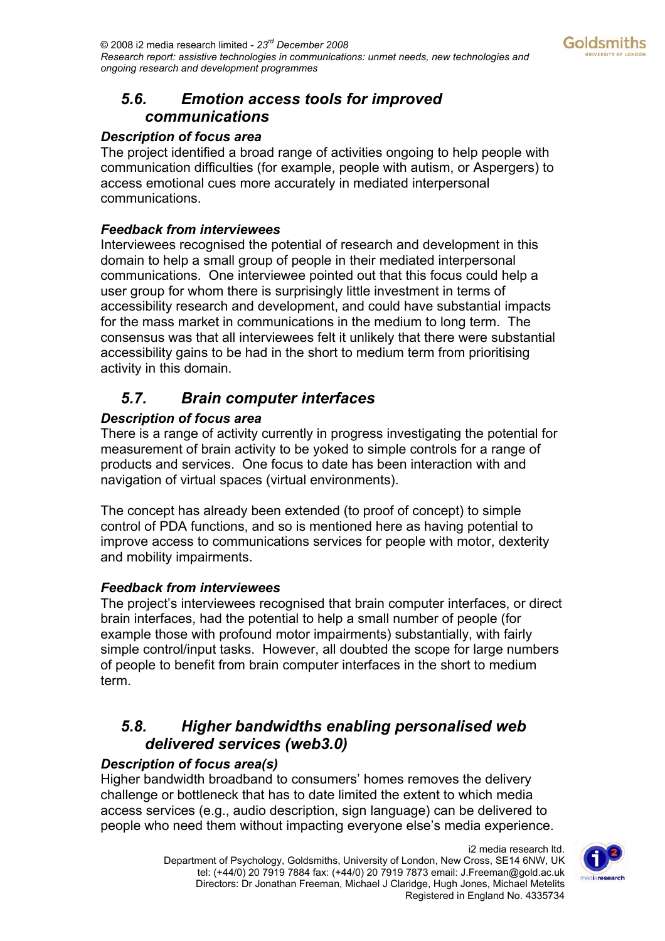### <span id="page-12-0"></span>*5.6. Emotion access tools for improved communications*

#### *Description of focus area*

The project identified a broad range of activities ongoing to help people with communication difficulties (for example, people with autism, or Aspergers) to access emotional cues more accurately in mediated interpersonal communications.

#### *Feedback from interviewees*

Interviewees recognised the potential of research and development in this domain to help a small group of people in their mediated interpersonal communications. One interviewee pointed out that this focus could help a user group for whom there is surprisingly little investment in terms of accessibility research and development, and could have substantial impacts for the mass market in communications in the medium to long term. The consensus was that all interviewees felt it unlikely that there were substantial accessibility gains to be had in the short to medium term from prioritising activity in this domain.

## *5.7. Brain computer interfaces*

#### *Description of focus area*

There is a range of activity currently in progress investigating the potential for measurement of brain activity to be yoked to simple controls for a range of products and services. One focus to date has been interaction with and navigation of virtual spaces (virtual environments).

The concept has already been extended (to proof of concept) to simple control of PDA functions, and so is mentioned here as having potential to improve access to communications services for people with motor, dexterity and mobility impairments.

#### *Feedback from interviewees*

The project's interviewees recognised that brain computer interfaces, or direct brain interfaces, had the potential to help a small number of people (for example those with profound motor impairments) substantially, with fairly simple control/input tasks. However, all doubted the scope for large numbers of people to benefit from brain computer interfaces in the short to medium term.

### *5.8. Higher bandwidths enabling personalised web delivered services (web3.0)*

#### *Description of focus area(s)*

Higher bandwidth broadband to consumers' homes removes the delivery challenge or bottleneck that has to date limited the extent to which media access services (e.g., audio description, sign language) can be delivered to people who need them without impacting everyone else's media experience.

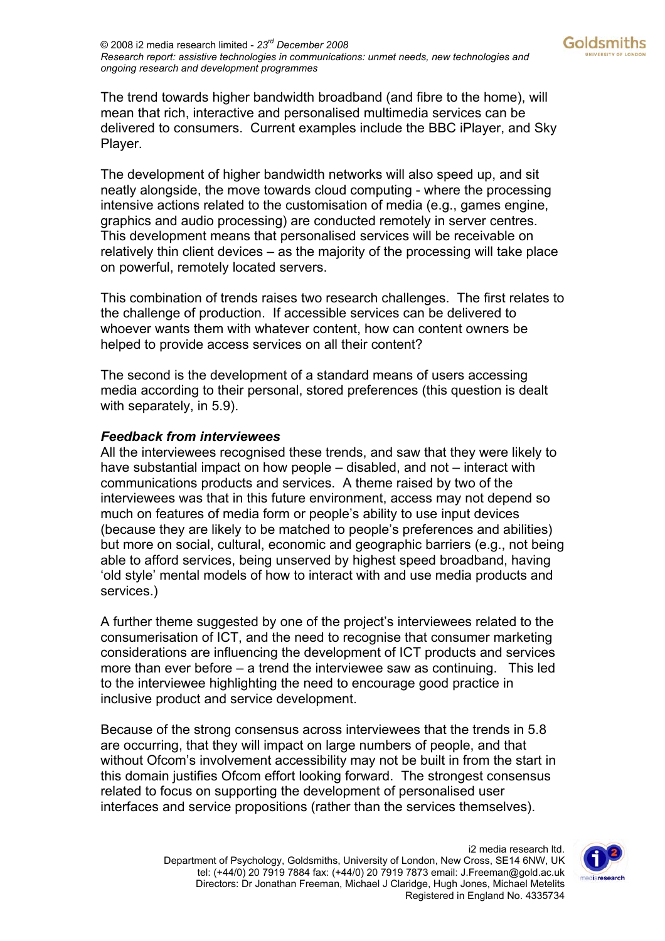The trend towards higher bandwidth broadband (and fibre to the home), will mean that rich, interactive and personalised multimedia services can be delivered to consumers. Current examples include the BBC iPlayer, and Sky Player.

The development of higher bandwidth networks will also speed up, and sit neatly alongside, the move towards cloud computing - where the processing intensive actions related to the customisation of media (e.g., games engine, graphics and audio processing) are conducted remotely in server centres. This development means that personalised services will be receivable on relatively thin client devices – as the majority of the processing will take place on powerful, remotely located servers.

This combination of trends raises two research challenges. The first relates to the challenge of production. If accessible services can be delivered to whoever wants them with whatever content, how can content owners be helped to provide access services on all their content?

The second is the development of a standard means of users accessing media according to their personal, stored preferences (this question is dealt with separately, in 5.9).

#### *Feedback from interviewees*

All the interviewees recognised these trends, and saw that they were likely to have substantial impact on how people – disabled, and not – interact with communications products and services. A theme raised by two of the interviewees was that in this future environment, access may not depend so much on features of media form or people's ability to use input devices (because they are likely to be matched to people's preferences and abilities) but more on social, cultural, economic and geographic barriers (e.g., not being able to afford services, being unserved by highest speed broadband, having 'old style' mental models of how to interact with and use media products and services.)

A further theme suggested by one of the project's interviewees related to the consumerisation of ICT, and the need to recognise that consumer marketing considerations are influencing the development of ICT products and services more than ever before – a trend the interviewee saw as continuing. This led to the interviewee highlighting the need to encourage good practice in inclusive product and service development.

Because of the strong consensus across interviewees that the trends in 5.8 are occurring, that they will impact on large numbers of people, and that without Ofcom's involvement accessibility may not be built in from the start in this domain justifies Ofcom effort looking forward. The strongest consensus related to focus on supporting the development of personalised user interfaces and service propositions (rather than the services themselves).

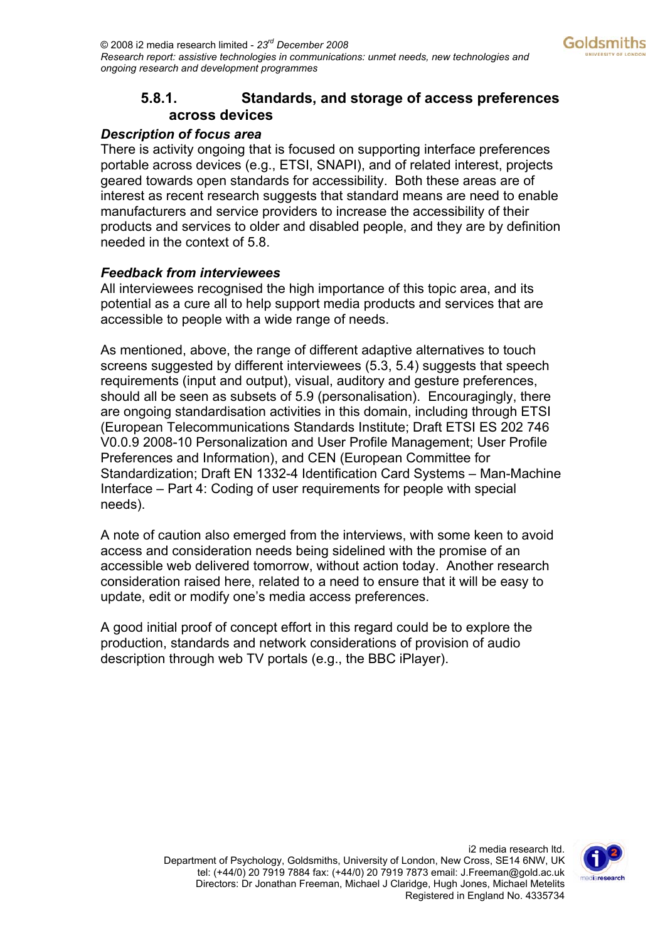#### **5.8.1. Standards, and storage of access preferences across devices**

#### <span id="page-14-0"></span>*Description of focus area*

There is activity ongoing that is focused on supporting interface preferences portable across devices (e.g., ETSI, SNAPI), and of related interest, projects geared towards open standards for accessibility. Both these areas are of interest as recent research suggests that standard means are need to enable manufacturers and service providers to increase the accessibility of their products and services to older and disabled people, and they are by definition needed in the context of 5.8.

#### *Feedback from interviewees*

All interviewees recognised the high importance of this topic area, and its potential as a cure all to help support media products and services that are accessible to people with a wide range of needs.

As mentioned, above, the range of different adaptive alternatives to touch screens suggested by different interviewees (5.3, 5.4) suggests that speech requirements (input and output), visual, auditory and gesture preferences, should all be seen as subsets of 5.9 (personalisation). Encouragingly, there are ongoing standardisation activities in this domain, including through ETSI (European Telecommunications Standards Institute; Draft ETSI ES 202 746 V0.0.9 2008-10 Personalization and User Profile Management; User Profile Preferences and Information), and CEN (European Committee for Standardization; Draft EN 1332-4 Identification Card Systems – Man-Machine Interface – Part 4: Coding of user requirements for people with special needs).

A note of caution also emerged from the interviews, with some keen to avoid access and consideration needs being sidelined with the promise of an accessible web delivered tomorrow, without action today. Another research consideration raised here, related to a need to ensure that it will be easy to update, edit or modify one's media access preferences.

A good initial proof of concept effort in this regard could be to explore the production, standards and network considerations of provision of audio description through web TV portals (e.g., the BBC iPlayer).

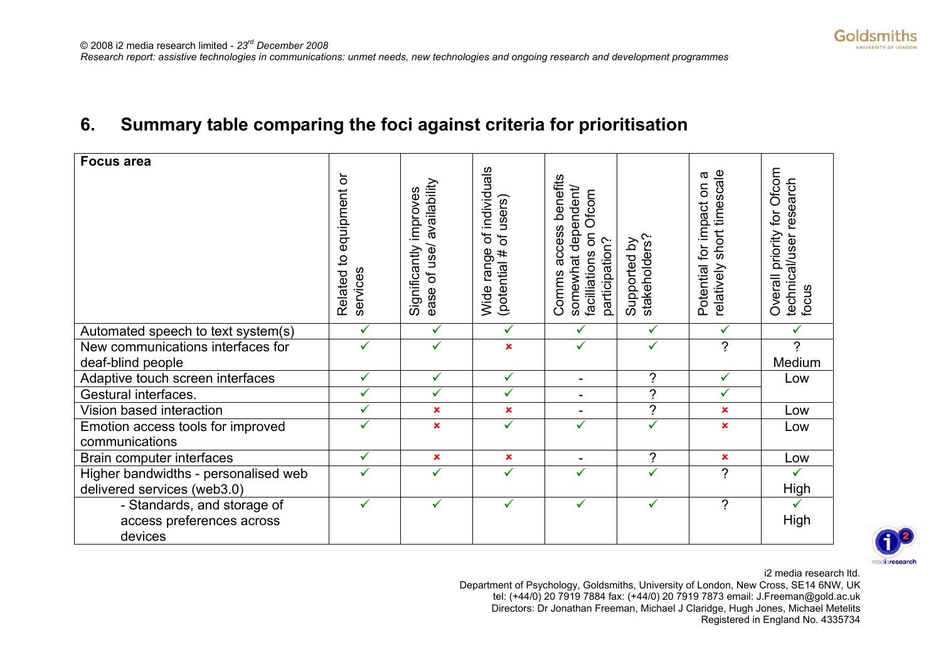

## **6. Summary table comparing the foci against criteria for prioritisation**

| <b>Focus area</b>                    | ŏ<br>equipment<br>Related to<br>services | availability<br>Significantly improves<br>ease of use/ | of individuals<br>users)<br>$\overline{5}$<br>Wide range<br>(potential # | access benefits<br>somewhat dependent/<br>Ofcom<br>$\mathsf{S}$<br>participation?<br>facilliations<br>Comms | stakeholders?<br>Supported by | short timescale<br>σ<br>Potential for impact on<br>relatively | Ofcom<br>research<br>for<br>Overall priority<br>technical/user<br>focus |
|--------------------------------------|------------------------------------------|--------------------------------------------------------|--------------------------------------------------------------------------|-------------------------------------------------------------------------------------------------------------|-------------------------------|---------------------------------------------------------------|-------------------------------------------------------------------------|
| Automated speech to text system(s)   | $\checkmark$                             | $\checkmark$                                           | ✓                                                                        | $\checkmark$                                                                                                | ✓                             | ✓                                                             |                                                                         |
| New communications interfaces for    | $\checkmark$                             | ✓                                                      | $\mathbf x$                                                              | ✓                                                                                                           | ✓                             | $\gamma$                                                      | 2                                                                       |
| deaf-blind people                    |                                          |                                                        |                                                                          |                                                                                                             |                               |                                                               | Medium                                                                  |
| Adaptive touch screen interfaces     | ✓                                        | ✓                                                      | ✓                                                                        | $\overline{\phantom{0}}$                                                                                    | $\overline{?}$                | ✓                                                             | Low                                                                     |
| Gestural interfaces.                 | $\checkmark$                             | ✓                                                      | ✓                                                                        | $\overline{\phantom{a}}$                                                                                    | $\overline{?}$                | $\checkmark$                                                  |                                                                         |
| Vision based interaction             | ✓                                        | $\pmb{\times}$                                         | $\pmb{\times}$                                                           | $\overline{\phantom{0}}$                                                                                    | $\tilde{?}$                   | ×                                                             | Low                                                                     |
| Emotion access tools for improved    | ✓                                        | $\mathbf x$                                            | $\checkmark$                                                             | ✓                                                                                                           | ✓                             | ×                                                             | Low                                                                     |
| communications                       |                                          |                                                        |                                                                          |                                                                                                             |                               |                                                               |                                                                         |
| Brain computer interfaces            | ✓                                        | ×                                                      | $\pmb{\times}$                                                           | $\blacksquare$                                                                                              | ?                             | $\pmb{\times}$                                                | Low                                                                     |
| Higher bandwidths - personalised web |                                          | ✓                                                      | ✓                                                                        | ✓                                                                                                           |                               | ?                                                             |                                                                         |
| delivered services (web3.0)          |                                          |                                                        |                                                                          |                                                                                                             |                               |                                                               | High                                                                    |
| - Standards, and storage of          | ✓                                        | ✓                                                      | ✓                                                                        | ✓                                                                                                           | ✓                             | ?                                                             |                                                                         |
| access preferences across            |                                          |                                                        |                                                                          |                                                                                                             |                               |                                                               | High                                                                    |
| devices                              |                                          |                                                        |                                                                          |                                                                                                             |                               |                                                               |                                                                         |



i2 media research ltd.

<span id="page-15-0"></span>Department of Psychology, Goldsmiths, University of London, New Cross, SE14 6NW, UK tel: (+44/0) 20 7919 7884 fax: (+44/0) 20 7919 7873 email: J.Freeman@gold.ac.uk Directors: Dr Jonathan Freeman, Michael J Claridge, Hugh Jones, Michael Metelits Registered in England No. 4335734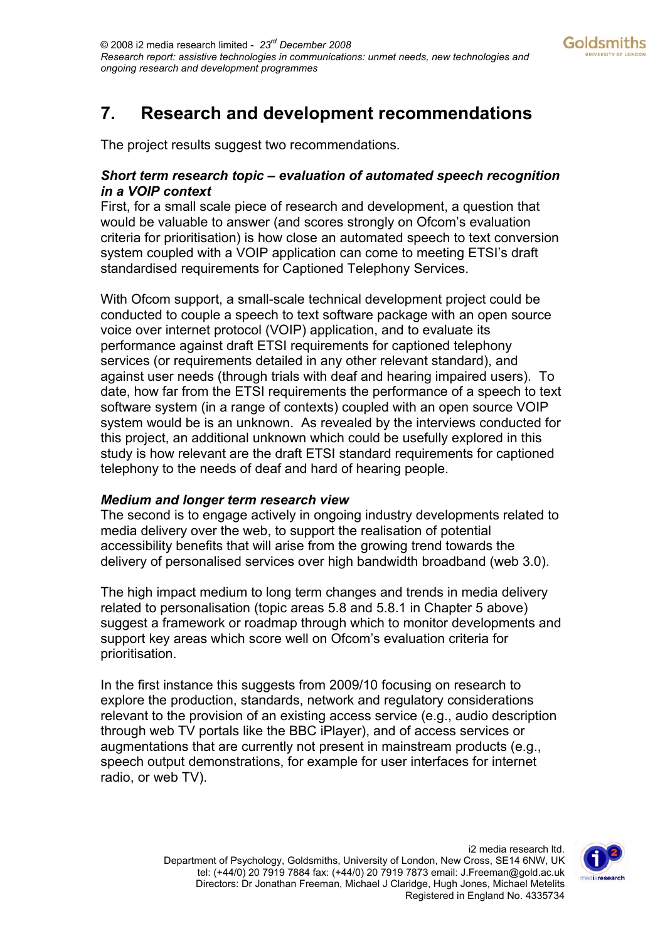## <span id="page-16-0"></span>**7. Research and development recommendations**

The project results suggest two recommendations.

#### *Short term research topic – evaluation of automated speech recognition in a VOIP context*

First, for a small scale piece of research and development, a question that would be valuable to answer (and scores strongly on Ofcom's evaluation criteria for prioritisation) is how close an automated speech to text conversion system coupled with a VOIP application can come to meeting ETSI's draft standardised requirements for Captioned Telephony Services.

With Ofcom support, a small-scale technical development project could be conducted to couple a speech to text software package with an open source voice over internet protocol (VOIP) application, and to evaluate its performance against draft ETSI requirements for captioned telephony services (or requirements detailed in any other relevant standard), and against user needs (through trials with deaf and hearing impaired users). To date, how far from the ETSI requirements the performance of a speech to text software system (in a range of contexts) coupled with an open source VOIP system would be is an unknown. As revealed by the interviews conducted for this project, an additional unknown which could be usefully explored in this study is how relevant are the draft ETSI standard requirements for captioned telephony to the needs of deaf and hard of hearing people.

#### *Medium and longer term research view*

The second is to engage actively in ongoing industry developments related to media delivery over the web, to support the realisation of potential accessibility benefits that will arise from the growing trend towards the delivery of personalised services over high bandwidth broadband (web 3.0).

The high impact medium to long term changes and trends in media delivery related to personalisation (topic areas 5.8 and 5.8.1 in Chapter 5 above) suggest a framework or roadmap through which to monitor developments and support key areas which score well on Ofcom's evaluation criteria for prioritisation.

In the first instance this suggests from 2009/10 focusing on research to explore the production, standards, network and regulatory considerations relevant to the provision of an existing access service (e.g., audio description through web TV portals like the BBC iPlayer), and of access services or augmentations that are currently not present in mainstream products (e.g., speech output demonstrations, for example for user interfaces for internet radio, or web TV).